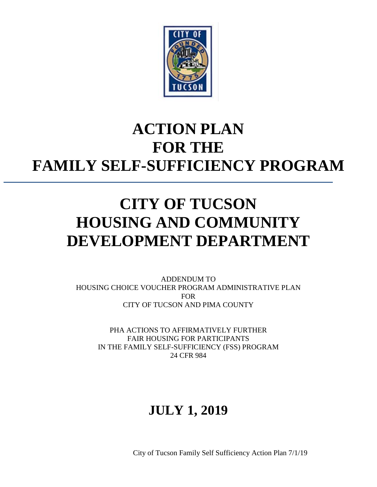

# **ACTION PLAN FOR THE FAMILY SELF-SUFFICIENCY PROGRAM**

# **CITY OF TUCSON HOUSING AND COMMUNITY DEVELOPMENT DEPARTMENT**

ADDENDUM TO HOUSING CHOICE VOUCHER PROGRAM ADMINISTRATIVE PLAN FOR CITY OF TUCSON AND PIMA COUNTY

PHA ACTIONS TO AFFIRMATIVELY FURTHER FAIR HOUSING FOR PARTICIPANTS IN THE FAMILY SELF-SUFFICIENCY (FSS) PROGRAM 24 CFR 984

## **JULY 1, 2019**

City of Tucson Family Self Sufficiency Action Plan 7/1/19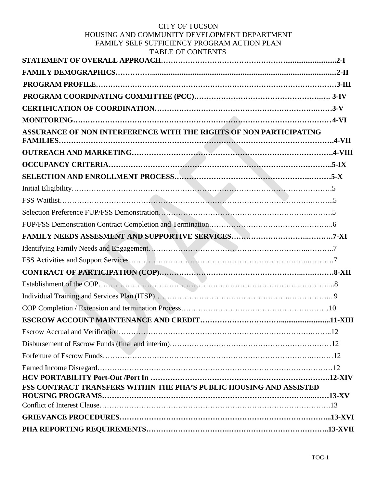#### CITY OF TUCSON HOUSING AND COMMUNITY DEVELOPMENT DEPARTMENT FAMILY SELF SUFFICIENCY PROGRAM ACTION PLAN TABLE OF CONTENTS

| TADLE OF CONTENTS                                                   |  |
|---------------------------------------------------------------------|--|
|                                                                     |  |
|                                                                     |  |
|                                                                     |  |
|                                                                     |  |
|                                                                     |  |
|                                                                     |  |
| ASSURANCE OF NON INTERFERENCE WITH THE RIGHTS OF NON PARTICIPATING  |  |
|                                                                     |  |
|                                                                     |  |
|                                                                     |  |
|                                                                     |  |
|                                                                     |  |
|                                                                     |  |
|                                                                     |  |
|                                                                     |  |
|                                                                     |  |
|                                                                     |  |
|                                                                     |  |
|                                                                     |  |
|                                                                     |  |
|                                                                     |  |
|                                                                     |  |
|                                                                     |  |
|                                                                     |  |
|                                                                     |  |
|                                                                     |  |
|                                                                     |  |
| FSS CONTRACT TRANSFERS WITHIN THE PHA'S PUBLIC HOUSING AND ASSISTED |  |
|                                                                     |  |
|                                                                     |  |
|                                                                     |  |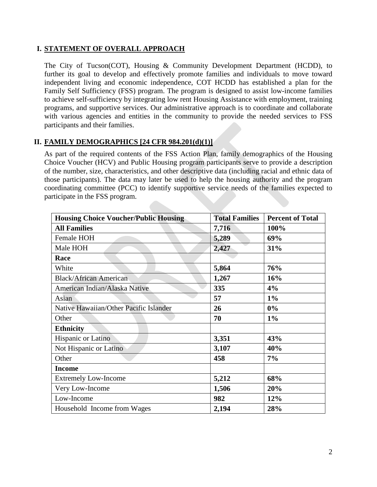## **I. STATEMENT OF OVERALL APPROACH**

The City of Tucson(COT), Housing & Community Development Department (HCDD), to further its goal to develop and effectively promote families and individuals to move toward independent living and economic independence, COT HCDD has established a plan for the Family Self Sufficiency (FSS) program. The program is designed to assist low-income families to achieve self-sufficiency by integrating low rent Housing Assistance with employment, training programs, and supportive services. Our administrative approach is to coordinate and collaborate with various agencies and entities in the community to provide the needed services to FSS participants and their families.

## **II. FAMILY DEMOGRAPHICS [24 CFR 984.201(d)(1)]**

As part of the required contents of the FSS Action Plan, family demographics of the Housing Choice Voucher (HCV) and Public Housing program participants serve to provide a description of the number, size, characteristics, and other descriptive data (including racial and ethnic data of those participants). The data may later be used to help the housing authority and the program coordinating committee (PCC) to identify supportive service needs of the families expected to participate in the FSS program.

| <b>Housing Choice Voucher/Public Housing</b> | <b>Total Families</b> | <b>Percent of Total</b> |
|----------------------------------------------|-----------------------|-------------------------|
| <b>All Families</b>                          | 7,716                 | 100%                    |
| Female HOH                                   | 5,289                 | 69%                     |
| Male HOH                                     | 2,427                 | 31%                     |
| Race                                         |                       |                         |
| White                                        | 5,864                 | 76%                     |
| <b>Black/African American</b>                | 1,267                 | 16%                     |
| American Indian/Alaska Native                | 335                   | 4%                      |
| Asian                                        | 57                    | $1\%$                   |
| Native Hawaiian/Other Pacific Islander       | 26                    | 0%                      |
| Other                                        | 70                    | $1\%$                   |
| <b>Ethnicity</b>                             |                       |                         |
| Hispanic or Latino                           | 3,351                 | 43%                     |
| Not Hispanic or Latino                       | 3,107                 | 40%                     |
| Other                                        | 458                   | 7%                      |
| <b>Income</b>                                |                       |                         |
| <b>Extremely Low-Income</b>                  | 5,212                 | 68%                     |
| Very Low-Income                              | 1,506                 | 20%                     |
| Low-Income                                   | 982                   | 12%                     |
| Household Income from Wages                  | 2,194                 | 28%                     |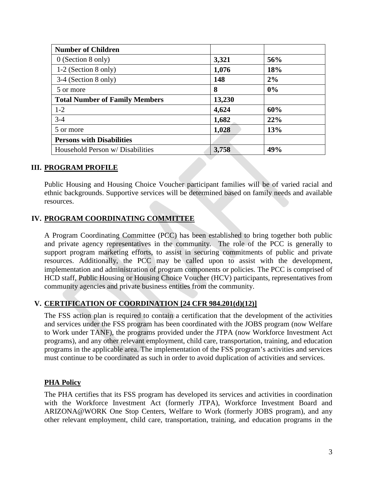| <b>Number of Children</b>             |        |     |
|---------------------------------------|--------|-----|
| $0$ (Section 8 only)                  | 3,321  | 56% |
| $1-2$ (Section 8 only)                | 1,076  | 18% |
| 3-4 (Section 8 only)                  | 148    | 2%  |
| 5 or more                             | 8      | 0%  |
| <b>Total Number of Family Members</b> | 13,230 |     |
| $1 - 2$                               | 4,624  | 60% |
| $3-4$                                 | 1,682  | 22% |
| 5 or more                             | 1,028  | 13% |
| <b>Persons with Disabilities</b>      |        |     |
| Household Person w/ Disabilities      | 3,758  | 49% |

## **III. PROGRAM PROFILE**

Public Housing and Housing Choice Voucher participant families will be of varied racial and ethnic backgrounds. Supportive services will be determined based on family needs and available resources.

## **IV. PROGRAM COORDINATING COMMITTEE**

A Program Coordinating Committee (PCC) has been established to bring together both public and private agency representatives in the community. The role of the PCC is generally to support program marketing efforts, to assist in securing commitments of public and private resources. Additionally, the PCC may be called upon to assist with the development, implementation and administration of program components or policies. The PCC is comprised of HCD staff, Public Housing or Housing Choice Voucher (HCV) participants, representatives from community agencies and private business entities from the community.

## **V. CERTIFICATION OF COORDINATION [24 CFR 984.201(d)(12)]**

The FSS action plan is required to contain a certification that the development of the activities and services under the FSS program has been coordinated with the JOBS program (now Welfare to Work under TANF), the programs provided under the JTPA (now Workforce Investment Act programs), and any other relevant employment, child care, transportation, training, and education programs in the applicable area. The implementation of the FSS program's activities and services must continue to be coordinated as such in order to avoid duplication of activities and services.

## **PHA Policy**

The PHA certifies that its FSS program has developed its services and activities in coordination with the Workforce Investment Act (formerly JTPA), Workforce Investment Board and ARIZONA@WORK One Stop Centers, Welfare to Work (formerly JOBS program), and any other relevant employment, child care, transportation, training, and education programs in the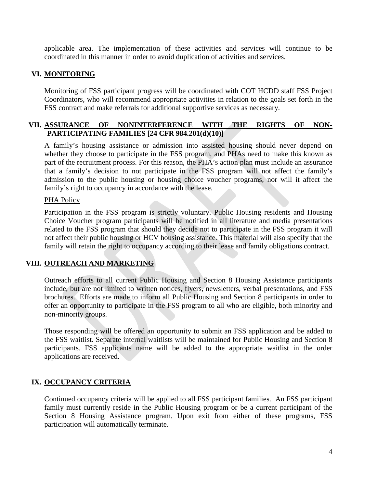applicable area. The implementation of these activities and services will continue to be coordinated in this manner in order to avoid duplication of activities and services.

## **VI. MONITORING**

Monitoring of FSS participant progress will be coordinated with COT HCDD staff FSS Project Coordinators, who will recommend appropriate activities in relation to the goals set forth in the FSS contract and make referrals for additional supportive services as necessary.

## **VII. ASSURANCE OF NONINTERFERENCE WITH THE RIGHTS OF NON-PARTICIPATING FAMILIES [24 CFR 984.201(d)(10)]**

A family's housing assistance or admission into assisted housing should never depend on whether they choose to participate in the FSS program, and PHAs need to make this known as part of the recruitment process. For this reason, the PHA's action plan must include an assurance that a family's decision to not participate in the FSS program will not affect the family's admission to the public housing or housing choice voucher programs, nor will it affect the family's right to occupancy in accordance with the lease.

## PHA Policy

Participation in the FSS program is strictly voluntary. Public Housing residents and Housing Choice Voucher program participants will be notified in all literature and media presentations related to the FSS program that should they decide not to participate in the FSS program it will not affect their public housing or HCV housing assistance. This material will also specify that the family will retain the right to occupancy according to their lease and family obligations contract.

## **VIII. OUTREACH AND MARKETING**

Outreach efforts to all current Public Housing and Section 8 Housing Assistance participants include, but are not limited to written notices, flyers, newsletters, verbal presentations, and FSS brochures. Efforts are made to inform all Public Housing and Section 8 participants in order to offer an opportunity to participate in the FSS program to all who are eligible, both minority and non-minority groups.

Those responding will be offered an opportunity to submit an FSS application and be added to the FSS waitlist. Separate internal waitlists will be maintained for Public Housing and Section 8 participants. FSS applicants name will be added to the appropriate waitlist in the order applications are received.

## **IX. OCCUPANCY CRITERIA**

Continued occupancy criteria will be applied to all FSS participant families. An FSS participant family must currently reside in the Public Housing program or be a current participant of the Section 8 Housing Assistance program. Upon exit from either of these programs, FSS participation will automatically terminate.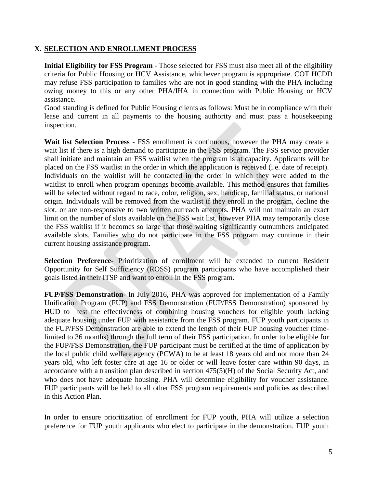## **X. SELECTION AND ENROLLMENT PROCESS**

**Initial Eligibility for FSS Program** - Those selected for FSS must also meet all of the eligibility criteria for Public Housing or HCV Assistance, whichever program is appropriate. COT HCDD may refuse FSS participation to families who are not in good standing with the PHA including owing money to this or any other PHA/IHA in connection with Public Housing or HCV assistance.

Good standing is defined for Public Housing clients as follows: Must be in compliance with their lease and current in all payments to the housing authority and must pass a housekeeping inspection.

**Wait list Selection Process** - FSS enrollment is continuous, however the PHA may create a wait list if there is a high demand to participate in the FSS program. The FSS service provider shall initiate and maintain an FSS waitlist when the program is at capacity. Applicants will be placed on the FSS waitlist in the order in which the application is received (i.e. date of receipt). Individuals on the waitlist will be contacted in the order in which they were added to the waitlist to enroll when program openings become available. This method ensures that families will be selected without regard to race, color, religion, sex, handicap, familial status, or national origin. Individuals will be removed from the waitlist if they enroll in the program, decline the slot, or are non-responsive to two written outreach attempts. PHA will not maintain an exact limit on the number of slots available on the FSS wait list, however PHA may temporarily close the FSS waitlist if it becomes so large that those waiting significantly outnumbers anticipated available slots. Families who do not participate in the FSS program may continue in their current housing assistance program.

**Selection Preference-** Prioritization of enrollment will be extended to current Resident Opportunity for Self Sufficiency (ROSS) program participants who have accomplished their goals listed in their ITSP and want to enroll in the FSS program.

**FUP/FSS Demonstration**- In July 2016, PHA was approved for implementation of a Family Unification Program (FUP) and FSS Demonstration (FUP/FSS Demonstration) sponsored by HUD to test the effectiveness of combining housing vouchers for eligible youth lacking adequate housing under FUP with assistance from the FSS program. FUP youth participants in the FUP/FSS Demonstration are able to extend the length of their FUP housing voucher (timelimited to 36 months) through the full term of their FSS participation. In order to be eligible for the FUP/FSS Demonstration, the FUP participant must be certified at the time of application by the local public child welfare agency (PCWA) to be at least 18 years old and not more than 24 years old, who left foster care at age 16 or older or will leave foster care within 90 days, in accordance with a transition plan described in section 475(5)(H) of the Social Security Act, and who does not have adequate housing. PHA will determine eligibility for voucher assistance. FUP participants will be held to all other FSS program requirements and policies as described in this Action Plan.

In order to ensure prioritization of enrollment for FUP youth, PHA will utilize a selection preference for FUP youth applicants who elect to participate in the demonstration. FUP youth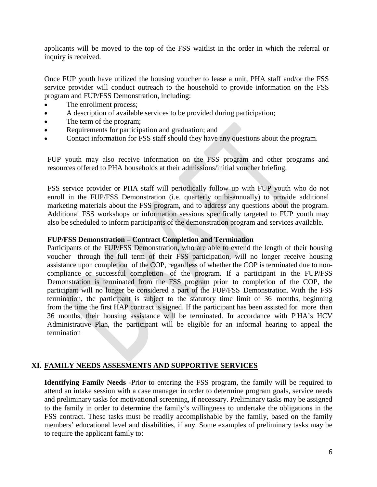applicants will be moved to the top of the FSS waitlist in the order in which the referral or inquiry is received.

Once FUP youth have utilized the housing voucher to lease a unit, PHA staff and/or the FSS service provider will conduct outreach to the household to provide information on the FSS program and FUP/FSS Demonstration, including:

- The enrollment process;
- A description of available services to be provided during participation;
- The term of the program;
- Requirements for participation and graduation; and
- Contact information for FSS staff should they have any questions about the program.

FUP youth may also receive information on the FSS program and other programs and resources offered to PHA households at their admissions/initial voucher briefing.

FSS service provider or PHA staff will periodically follow up with FUP youth who do not enroll in the FUP/FSS Demonstration (i.e. quarterly or bi-annually) to provide additional marketing materials about the FSS program, and to address any questions about the program. Additional FSS workshops or information sessions specifically targeted to FUP youth may also be scheduled to inform participants of the demonstration program and services available.

#### **FUP/FSS Demonstration – Contract Completion and Termination**

Participants of the FUP/FSS Demonstration, who are able to extend the length of their housing voucher through the full term of their FSS participation, will no longer receive housing assistance upon completion of the COP, regardless of whether the COP is terminated due to noncompliance or successful completion of the program. If a participant in the FUP/FSS Demonstration is terminated from the FSS program prior to completion of the COP, the participant will no longer be considered a part of the FUP/FSS Demonstration. With the FSS termination, the participant is subject to the statutory time limit of 36 months, beginning from the time the first HAP contract is signed. If the participant has been assisted for more than 36 months, their housing assistance will be terminated. In accordance with P HA's HCV Administrative Plan, the participant will be eligible for an informal hearing to appeal the termination

### **XI. FAMILY NEEDS ASSESMENTS AND SUPPORTIVE SERVICES**

**Identifying Family Needs** -Prior to entering the FSS program, the family will be required to attend an intake session with a case manager in order to determine program goals, service needs and preliminary tasks for motivational screening, if necessary. Preliminary tasks may be assigned to the family in order to determine the family's willingness to undertake the obligations in the FSS contract. These tasks must be readily accomplishable by the family, based on the family members' educational level and disabilities, if any. Some examples of preliminary tasks may be to require the applicant family to: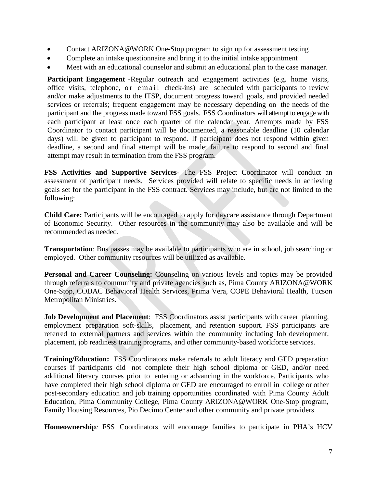- Contact ARIZONA@WORK One-Stop program to sign up for assessment testing
- Complete an intake questionnaire and bring it to the initial intake appointment
- Meet with an educational counselor and submit an educational plan to the case manager.

**Participant Engagement** -Regular outreach and engagement activities (e.g. home visits, office visits, telephone, or email check-ins) are scheduled with participants to review and/or make adjustments to the ITSP, document progress toward goals, and provided needed services or referrals; frequent engagement may be necessary depending on the needs of the participant and the progress made toward FSS goals. FSS Coordinators will attempt to engage with each participant at least once each quarter of the calendar year. Attempts made by FSS Coordinator to contact participant will be documented, a reasonable deadline (10 calendar days) will be given to participant to respond. If participant does not respond within given deadline, a second and final attempt will be made; failure to respond to second and final attempt may result in termination from the FSS program.

**FSS Activities and Supportive Services**- The FSS Project Coordinator will conduct an assessment of participant needs. Services provided will relate to specific needs in achieving goals set for the participant in the FSS contract. Services may include, but are not limited to the following:

**Child Care:** Participants will be encouraged to apply for daycare assistance through Department of Economic Security. Other resources in the community may also be available and will be recommended as needed.

**Transportation**: Bus passes may be available to participants who are in school, job searching or employed. Other community resources will be utilized as available.

**Personal and Career Counseling:** Counseling on various levels and topics may be provided through referrals to community and private agencies such as, Pima County ARIZONA@WORK One-Stop, CODAC Behavioral Health Services, Prima Vera, COPE Behavioral Health, Tucson Metropolitan Ministries.

**Job Development and Placement**: FSS Coordinators assist participants with career planning, employment preparation soft-skills, placement, and retention support. FSS participants are referred to external partners and services within the community including Job development, placement, job readiness training programs, and other community-based workforce services.

**Training/Education:** FSS Coordinators make referrals to adult literacy and GED preparation courses if participants did not complete their high school diploma or GED, and/or need additional literacy courses prior to entering or advancing in the workforce. Participants who have completed their high school diploma or GED are encouraged to enroll in college or other post-secondary education and job training opportunities coordinated with Pima County Adult Education, Pima Community College, Pima County ARIZONA@WORK One-Stop program, Family Housing Resources, Pio Decimo Center and other community and private providers.

**Homeownership***:* FSS Coordinators will encourage families to participate in PHA's HCV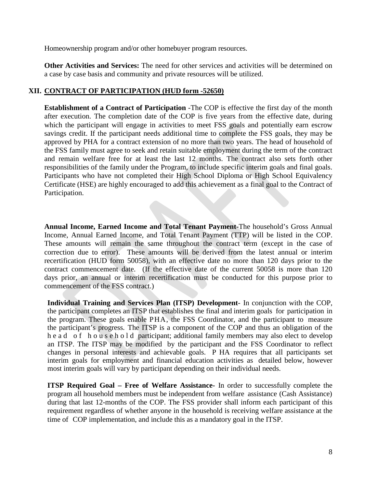Homeownership program and/or other homebuyer program resources.

**Other Activities and Services:** The need for other services and activities will be determined on a case by case basis and community and private resources will be utilized.

## **XII. CONTRACT OF PARTICIPATION (HUD form -52650)**

**Establishment of a Contract of Participation** -The COP is effective the first day of the month after execution. The completion date of the COP is five years from the effective date, during which the participant will engage in activities to meet FSS goals and potentially earn escrow savings credit. If the participant needs additional time to complete the FSS goals, they may be approved by PHA for a contract extension of no more than two years. The head of household of the FSS family must agree to seek and retain suitable employment during the term of the contract and remain welfare free for at least the last 12 months. The contract also sets forth other responsibilities of the family under the Program, to include specific interim goals and final goals. Participants who have not completed their High School Diploma or High School Equivalency Certificate (HSE) are highly encouraged to add this achievement as a final goal to the Contract of Participation.

**Annual Income, Earned Income and Total Tenant Payment-**The household's Gross Annual Income, Annual Earned Income, and Total Tenant Payment (TTP) will be listed in the COP. These amounts will remain the same throughout the contract term (except in the case of correction due to error). These amounts will be derived from the latest annual or interim recertification (HUD form 50058), with an effective date no more than 120 days prior to the contract commencement date. (If the effective date of the current 50058 is more than 120 days prior, an annual or interim recertification must be conducted for this purpose prior to commencement of the FSS contract.)

**Individual Training and Services Plan (ITSP) Development**- In conjunction with the COP, the participant completes an ITSP that establishes the final and interim goals for participation in the program. These goals enable PHA, the FSS Coordinator, and the participant to measure the participant's progress. The ITSP is a component of the COP and thus an obligation of the head of household participant; additional family members may also elect to develop an ITSP. The ITSP may be modified by the participant and the FSS Coordinator to reflect changes in personal interests and achievable goals. P HA requires that all participants set interim goals for employment and financial education activities as detailed below, however most interim goals will vary by participant depending on their individual needs.

**ITSP Required Goal – Free of Welfare Assistance-** In order to successfully complete the program all household members must be independent from welfare assistance (Cash Assistance) during that last 12-months of the COP. The FSS provider shall inform each participant of this requirement regardless of whether anyone in the household is receiving welfare assistance at the time of COP implementation, and include this as a mandatory goal in the ITSP.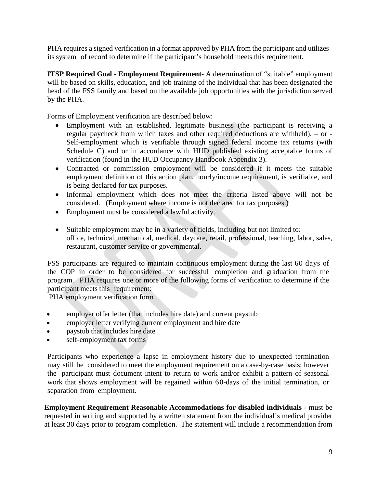PHA requires a signed verification in a format approved by PHA from the participant and utilizes its system of record to determine if the participant's household meets this requirement.

**ITSP Required Goal - Employment Requirement-** A determination of "suitable" employment will be based on skills, education, and job training of the individual that has been designated the head of the FSS family and based on the available job opportunities with the jurisdiction served by the PHA.

Forms of Employment verification are described below:

- Employment with an established, legitimate business (the participant is receiving a regular paycheck from which taxes and other required deductions are withheld). – or - Self-employment which is verifiable through signed federal income tax returns (with Schedule C) and or in accordance with HUD published existing acceptable forms of verification (found in the HUD Occupancy Handbook Appendix 3).
- Contracted or commission employment will be considered if it meets the suitable employment definition of this action plan, hourly/income requirement, is verifiable, and is being declared for tax purposes.
- Informal employment which does not meet the criteria listed above will not be considered. (Employment where income is not declared for tax purposes.)
- Employment must be considered a lawful activity.
- Suitable employment may be in a variety of fields, including but not limited to: office, technical, mechanical, medical, daycare, retail, professional, teaching, labor, sales, restaurant, customer service or governmental.

FSS participants are required to maintain continuous employment during the last 60 days of the COP in order to be considered for successful completion and graduation from the program. PHA requires one or more of the following forms of verification to determine if the participant meets this requirement:

PHA employment verification form

- employer offer letter (that includes hire date) and current paystub
- employer letter verifying current employment and hire date
- paystub that includes hire date
- self-employment tax forms

Participants who experience a lapse in employment history due to unexpected termination may still be considered to meet the employment requirement on a case-by-case basis; however the participant must document intent to return to work and/or exhibit a pattern of seasonal work that shows employment will be regained within 60-days of the initial termination, or separation from employment.

**Employment Requirement Reasonable Accommodations for disabled individuals** - must be requested in writing and supported by a written statement from the individual's medical provider at least 30 days prior to program completion. The statement will include a recommendation from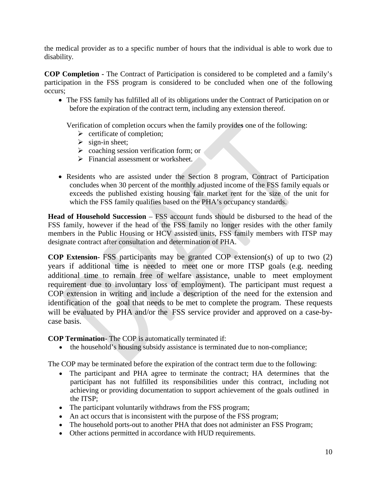the medical provider as to a specific number of hours that the individual is able to work due to disability.

**COP Completion -** The Contract of Participation is considered to be completed and a family's participation in the FSS program is considered to be concluded when one of the following occurs;

• The FSS family has fulfilled all of its obligations under the Contract of Participation on or before the expiration of the contract term, including any extension thereof.

Verification of completion occurs when the family provide**s** one of the following:

- $\triangleright$  certificate of completion;
- $\triangleright$  sign-in sheet;
- $\triangleright$  coaching session verification form; or
- $\triangleright$  Financial assessment or worksheet.
- Residents who are assisted under the Section 8 program, Contract of Participation concludes when 30 percent of the monthly adjusted income of the FSS family equals or exceeds the published existing housing fair market rent for the size of the unit for which the FSS family qualifies based on the PHA's occupancy standards.

**Head of Household Succession** – FSS account funds should be disbursed to the head of the FSS family, however if the head of the FSS family no longer resides with the other family members in the Public Housing or HCV assisted units, FSS family members with ITSP may designate contract after consultation and determination of PHA.

**COP Extension-** FSS participants may be granted COP extension(s) of up to two (2) years if additional time is needed to meet one or more ITSP goals (e.g. needing additional time to remain free of welfare assistance, unable to meet employment requirement due to involuntary loss of employment). The participant must request a COP extension in writing and include a description of the need for the extension and identification of the goal that needs to be met to complete the program. These requests will be evaluated by PHA and/or the FSS service provider and approved on a case-bycase basis.

**COP Termination**- The COP is automatically terminated if:

• the household's housing subsidy assistance is terminated due to non-compliance;

The COP may be terminated before the expiration of the contract term due to the following:

- The participant and PHA agree to terminate the contract; HA determines that the participant has not fulfilled its responsibilities under this contract, including not achieving or providing documentation to support achievement of the goals outlined in the ITSP;
- The participant voluntarily withdraws from the FSS program;
- An act occurs that is inconsistent with the purpose of the FSS program;
- The household ports-out to another PHA that does not administer an FSS Program;
- Other actions permitted in accordance with HUD requirements.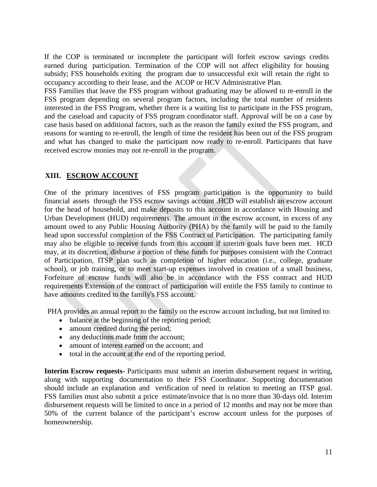If the COP is terminated or incomplete the participant will forfeit escrow savings credits earned during participation. Termination of the COP will not affect eligibility for housing subsidy; FSS households exiting the program due to unsuccessful exit will retain the right to occupancy according to their lease, and the ACOP or HCV Administrative Plan.

FSS Families that leave the FSS program without graduating may be allowed to re-enroll in the FSS program depending on several program factors, including the total number of residents interested in the FSS Program, whether there is a waiting list to participate in the FSS program, and the caseload and capacity of FSS program coordinator staff. Approval will be on a case by case basis based on additional factors, such as the reason the family exited the FSS program, and reasons for wanting to re-enroll, the length of time the resident has been out of the FSS program and what has changed to make the participant now ready to re-enroll. Participants that have received escrow monies may not re-enroll in the program.

## **XIII. ESCROW ACCOUNT**

One of the primary incentives of FSS program participation is the opportunity to build financial assets through the FSS escrow savings account .HCD will establish an escrow account for the head of household, and make deposits to this account in accordance with Housing and Urban Development (HUD) requirements. The amount in the escrow account, in excess of any amount owed to any Public Housing Authority (PHA) by the family will be paid to the family head upon successful completion of the FSS Contract of Participation. The participating family may also be eligible to receive funds from this account if interim goals have been met. HCD may, at its discretion, disburse a portion of these funds for purposes consistent with the Contract of Participation, ITSP plan such as completion of higher education (i.e., college, graduate school), or job training, or to meet start-up expenses involved in creation of a small business, Forfeiture of escrow funds will also be in accordance with the FSS contract and HUD requirements Extension of the contract of participation will entitle the FSS family to continue to have amounts credited to the family's FSS account.

PHA provides an annual report to the family on the escrow account including, but not limited to:

- balance at the beginning of the reporting period;
- amount credited during the period;
- any deductions made from the account;
- amount of interest earned on the account; and
- total in the account at the end of the reporting period.

**Interim Escrow requests-** Participants must submit an interim disbursement request in writing, along with supporting documentation to their FSS Coordinator. Supporting documentation should include an explanation and verification of need in relation to meeting an ITSP goal. FSS families must also submit a price estimate/invoice that is no more than 30-days old. Interim disbursement requests will be limited to once in a period of 12 months and may not be more than 50% of the current balance of the participant's escrow account unless for the purposes of homeownership.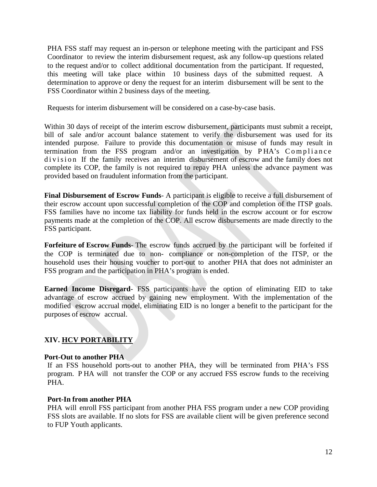PHA FSS staff may request an in-person or telephone meeting with the participant and FSS Coordinator to review the interim disbursement request, ask any follow-up questions related to the request and/or to collect additional documentation from the participant. If requested, this meeting will take place within 10 business days of the submitted request. A determination to approve or deny the request for an interim disbursement will be sent to the FSS Coordinator within 2 business days of the meeting.

Requests for interim disbursement will be considered on a case-by-case basis.

Within 30 days of receipt of the interim escrow disbursement, participants must submit a receipt, bill of sale and/or account balance statement to verify the disbursement was used for its intended purpose. Failure to provide this documentation or misuse of funds may result in termination from the FSS program and/or an investigation by P HA's Compliance division If the family receives an interim disbursement of escrow and the family does not complete its COP, the family is not required to repay PHA unless the advance payment was provided based on fraudulent information from the participant.

**Final Disbursement of Escrow Funds**- A participant is eligible to receive a full disbursement of their escrow account upon successful completion of the COP and completion of the ITSP goals. FSS families have no income tax liability for funds held in the escrow account or for escrow payments made at the completion of the COP. All escrow disbursements are made directly to the FSS participant.

**Forfeiture of Escrow Funds**- The escrow funds accrued by the participant will be forfeited if the COP is terminated due to non- compliance or non-completion of the ITSP, or the household uses their housing voucher to port-out to another PHA that does not administer an FSS program and the participation in PHA's program is ended.

**Earned Income Disregard**- FSS participants have the option of eliminating EID to take advantage of escrow accrued by gaining new employment. With the implementation of the modified escrow accrual model, eliminating EID is no longer a benefit to the participant for the purposes of escrow accrual.

## **XIV. HCV PORTABILITY**

#### **Port-Out to another PHA**

If an FSS household ports-out to another PHA, they will be terminated from PHA's FSS program. P HA will not transfer the COP or any accrued FSS escrow funds to the receiving PHA.

#### **Port-In from another PHA**

PHA will enroll FSS participant from another PHA FSS program under a new COP providing FSS slots are available. If no slots for FSS are available client will be given preference second to FUP Youth applicants.